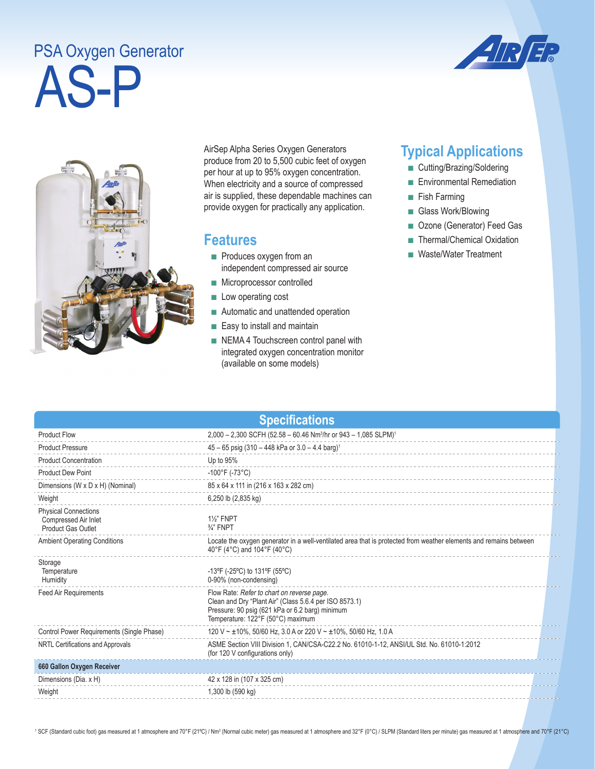## AS-P PSA Oxygen Generator





AirSep Alpha Series Oxygen Generators produce from 20 to 5,500 cubic feet of oxygen per hour at up to 95% oxygen concentration. When electricity and a source of compressed air is supplied, these dependable machines can provide oxygen for practically any application.

## **Features**

- Produces oxygen from an independent compressed air source
- Microprocessor controlled
- Low operating cost
- Automatic and unattended operation
- Easy to install and maintain
- NEMA 4 Touchscreen control panel with integrated oxygen concentration monitor (available on some models)

## **Typical Applications**

- Cutting/Brazing/Soldering
- Environmental Remediation
- Fish Farming
- Glass Work/Blowing
- Ozone (Generator) Feed Gas
- Thermal/Chemical Oxidation
- Waste/Water Treatment

| <b>Specifications</b>                                                            |                                                                                                                                                                                              |  |  |  |
|----------------------------------------------------------------------------------|----------------------------------------------------------------------------------------------------------------------------------------------------------------------------------------------|--|--|--|
| <b>Product Flow</b>                                                              | 2,000 - 2,300 SCFH (52.58 - 60.46 Nm <sup>3</sup> /hr or 943 - 1,085 SLPM) <sup>1</sup>                                                                                                      |  |  |  |
| <b>Product Pressure</b>                                                          | $45 - 65$ psig (310 - 448 kPa or 3.0 - 4.4 barg) <sup>1</sup>                                                                                                                                |  |  |  |
| <b>Product Concentration</b>                                                     | Up to 95%                                                                                                                                                                                    |  |  |  |
| <b>Product Dew Point</b>                                                         | $-100^{\circ}$ F (-73 $^{\circ}$ C)                                                                                                                                                          |  |  |  |
| Dimensions (W x D x H) (Nominal)                                                 | 85 x 64 x 111 in (216 x 163 x 282 cm)                                                                                                                                                        |  |  |  |
| Weight                                                                           | 6,250 lb (2,835 kg)                                                                                                                                                                          |  |  |  |
| <b>Physical Connections</b><br>Compressed Air Inlet<br><b>Product Gas Outlet</b> | <b>1%" FNPT</b><br>$\frac{3}{4}$ " FNPT                                                                                                                                                      |  |  |  |
| <b>Ambient Operating Conditions</b>                                              | Locate the oxygen generator in a well-ventilated area that is protected from weather elements and remains between<br>40°F (4°C) and 104°F (40°C)                                             |  |  |  |
| Storage<br>Temperature<br>Humidity                                               | -13°F (-25°C) to 131°F (55°C)<br>0-90% (non-condensing)                                                                                                                                      |  |  |  |
| <b>Feed Air Requirements</b>                                                     | Flow Rate: Refer to chart on reverse page.<br>Clean and Dry "Plant Air" (Class 5.6.4 per ISO 8573.1)<br>Pressure: 90 psig (621 kPa or 6.2 barg) minimum<br>Temperature: 122°F (50°C) maximum |  |  |  |
| Control Power Requirements (Single Phase)                                        | 120 V ~ ±10%, 50/60 Hz, 3.0 A or 220 V ~ ±10%, 50/60 Hz, 1.0 A                                                                                                                               |  |  |  |
| NRTL Certifications and Approvals                                                | ASME Section VIII Division 1, CAN/CSA-C22.2 No. 61010-1-12, ANSI/UL Std. No. 61010-1:2012<br>(for 120 V configurations only)                                                                 |  |  |  |
| 660 Gallon Oxygen Receiver                                                       |                                                                                                                                                                                              |  |  |  |
| Dimensions (Dia. x H)                                                            | 42 x 128 in (107 x 325 cm)                                                                                                                                                                   |  |  |  |
| Weight                                                                           | 1,300 lb (590 kg)                                                                                                                                                                            |  |  |  |

<sup>1</sup> SCF (Standard cubic foot) gas measured at 1 atmosphere and 70°F (21°C) / Nm<sup>3</sup> (Normal cubic meter) gas measured at 1 atmosphere and 32°F (0°C) / SLPM (Standard liters per minute) gas measured at 1 atmosphere and 70°F